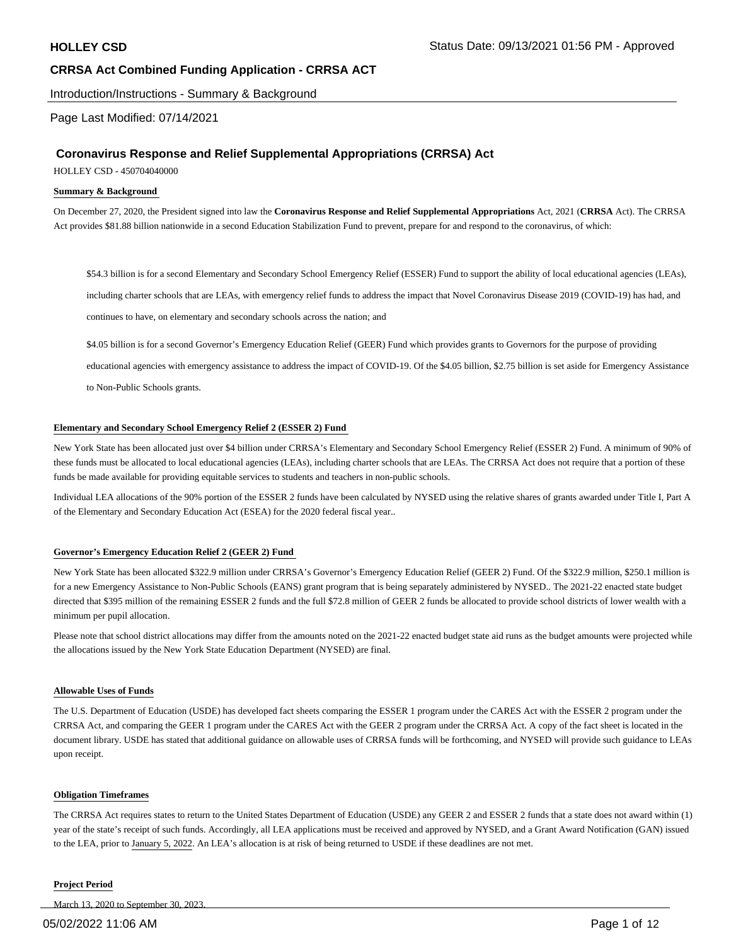Introduction/Instructions - Summary & Background

Page Last Modified: 07/14/2021

#### **Coronavirus Response and Relief Supplemental Appropriations (CRRSA) Act**

HOLLEY CSD - 450704040000

#### **Summary & Background**

On December 27, 2020, the President signed into law the **Coronavirus Response and Relief Supplemental Appropriations** Act, 2021 (**CRRSA** Act). The CRRSA Act provides \$81.88 billion nationwide in a second Education Stabilization Fund to prevent, prepare for and respond to the coronavirus, of which:

\$54.3 billion is for a second Elementary and Secondary School Emergency Relief (ESSER) Fund to support the ability of local educational agencies (LEAs), including charter schools that are LEAs, with emergency relief funds to address the impact that Novel Coronavirus Disease 2019 (COVID-19) has had, and continues to have, on elementary and secondary schools across the nation; and

\$4.05 billion is for a second Governor's Emergency Education Relief (GEER) Fund which provides grants to Governors for the purpose of providing

educational agencies with emergency assistance to address the impact of COVID-19. Of the \$4.05 billion, \$2.75 billion is set aside for Emergency Assistance to Non-Public Schools grants.

#### **Elementary and Secondary School Emergency Relief 2 (ESSER 2) Fund**

New York State has been allocated just over \$4 billion under CRRSA's Elementary and Secondary School Emergency Relief (ESSER 2) Fund. A minimum of 90% of these funds must be allocated to local educational agencies (LEAs), including charter schools that are LEAs. The CRRSA Act does not require that a portion of these funds be made available for providing equitable services to students and teachers in non-public schools.

Individual LEA allocations of the 90% portion of the ESSER 2 funds have been calculated by NYSED using the relative shares of grants awarded under Title I, Part A of the Elementary and Secondary Education Act (ESEA) for the 2020 federal fiscal year..

#### **Governor's Emergency Education Relief 2 (GEER 2) Fund**

New York State has been allocated \$322.9 million under CRRSA's Governor's Emergency Education Relief (GEER 2) Fund. Of the \$322.9 million, \$250.1 million is for a new Emergency Assistance to Non-Public Schools (EANS) grant program that is being separately administered by NYSED.. The 2021-22 enacted state budget directed that \$395 million of the remaining ESSER 2 funds and the full \$72.8 million of GEER 2 funds be allocated to provide school districts of lower wealth with a minimum per pupil allocation.

Please note that school district allocations may differ from the amounts noted on the 2021-22 enacted budget state aid runs as the budget amounts were projected while the allocations issued by the New York State Education Department (NYSED) are final.

#### **Allowable Uses of Funds**

The U.S. Department of Education (USDE) has developed fact sheets comparing the ESSER 1 program under the CARES Act with the ESSER 2 program under the CRRSA Act, and comparing the GEER 1 program under the CARES Act with the GEER 2 program under the CRRSA Act. A copy of the fact sheet is located in the document library. USDE has stated that additional guidance on allowable uses of CRRSA funds will be forthcoming, and NYSED will provide such guidance to LEAs upon receipt.

#### **Obligation Timeframes**

The CRRSA Act requires states to return to the United States Department of Education (USDE) any GEER 2 and ESSER 2 funds that a state does not award within (1) year of the state's receipt of such funds. Accordingly, all LEA applications must be received and approved by NYSED, and a Grant Award Notification (GAN) issued to the LEA, prior to January 5, 2022. An LEA's allocation is at risk of being returned to USDE if these deadlines are not met.

#### **Project Period**

March 13, 2020 to September 30, 2023.

#### 05/02/2022 11:06 AM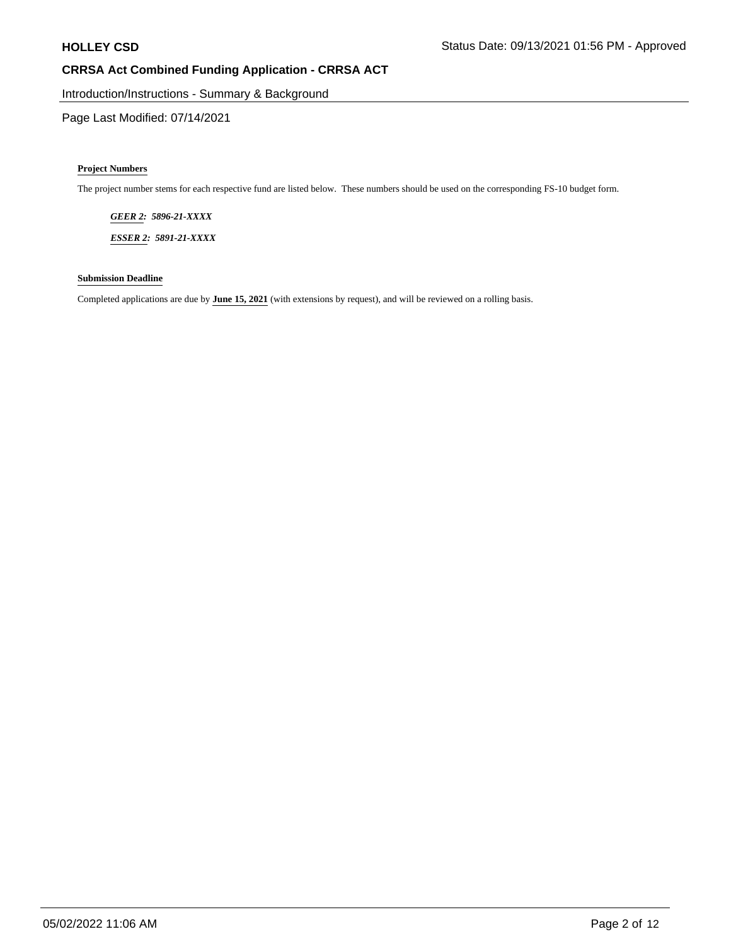Introduction/Instructions - Summary & Background

Page Last Modified: 07/14/2021

#### **Project Numbers**

The project number stems for each respective fund are listed below. These numbers should be used on the corresponding FS-10 budget form.

*GEER 2: 5896-21-XXXX*

*ESSER 2: 5891-21-XXXX*

#### **Submission Deadline**

Completed applications are due by **June 15, 2021** (with extensions by request), and will be reviewed on a rolling basis.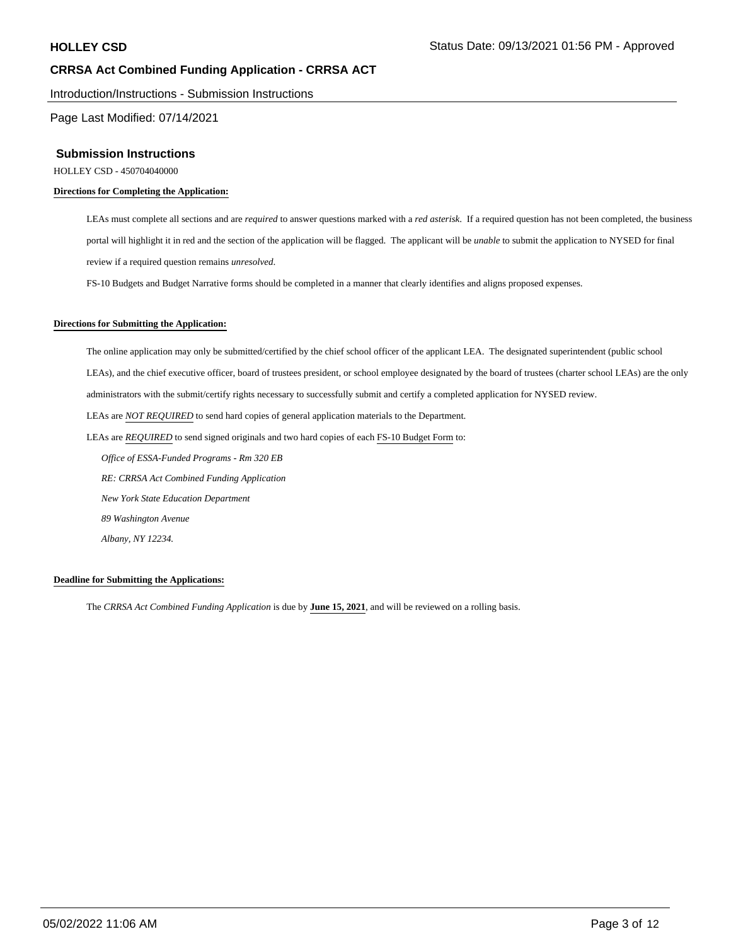Introduction/Instructions - Submission Instructions

Page Last Modified: 07/14/2021

#### **Submission Instructions**

HOLLEY CSD - 450704040000

#### **Directions for Completing the Application:**

LEAs must complete all sections and are *required* to answer questions marked with a *red asterisk*. If a required question has not been completed, the business portal will highlight it in red and the section of the application will be flagged. The applicant will be *unable* to submit the application to NYSED for final review if a required question remains *unresolved*.

FS-10 Budgets and Budget Narrative forms should be completed in a manner that clearly identifies and aligns proposed expenses.

#### **Directions for Submitting the Application:**

The online application may only be submitted/certified by the chief school officer of the applicant LEA. The designated superintendent (public school LEAs), and the chief executive officer, board of trustees president, or school employee designated by the board of trustees (charter school LEAs) are the only administrators with the submit/certify rights necessary to successfully submit and certify a completed application for NYSED review. LEAs are *NOT REQUIRED* to send hard copies of general application materials to the Department. LEAs are *REQUIRED* to send signed originals and two hard copies of each FS-10 Budget Form to:  *Office of ESSA-Funded Programs - Rm 320 EB RE: CRRSA Act Combined Funding Application New York State Education Department 89 Washington Avenue*

#### **Deadline for Submitting the Applications:**

 *Albany, NY 12234.*

The *CRRSA Act Combined Funding Application* is due by **June 15, 2021**, and will be reviewed on a rolling basis.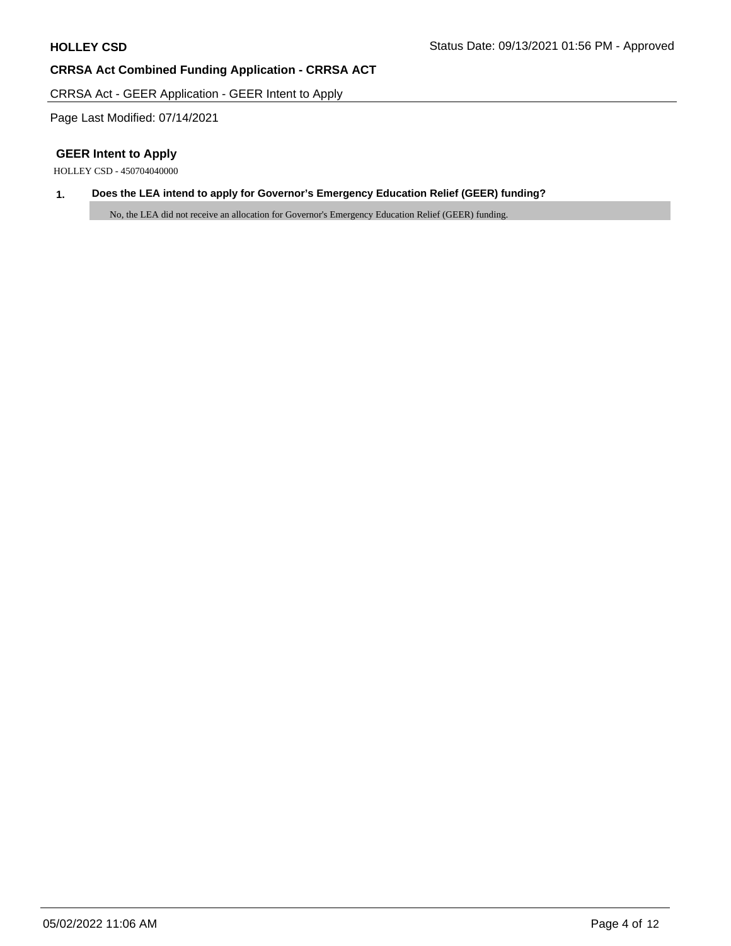CRRSA Act - GEER Application - GEER Intent to Apply

Page Last Modified: 07/14/2021

## **GEER Intent to Apply**

HOLLEY CSD - 450704040000

## **1. Does the LEA intend to apply for Governor's Emergency Education Relief (GEER) funding?**

No, the LEA did not receive an allocation for Governor's Emergency Education Relief (GEER) funding.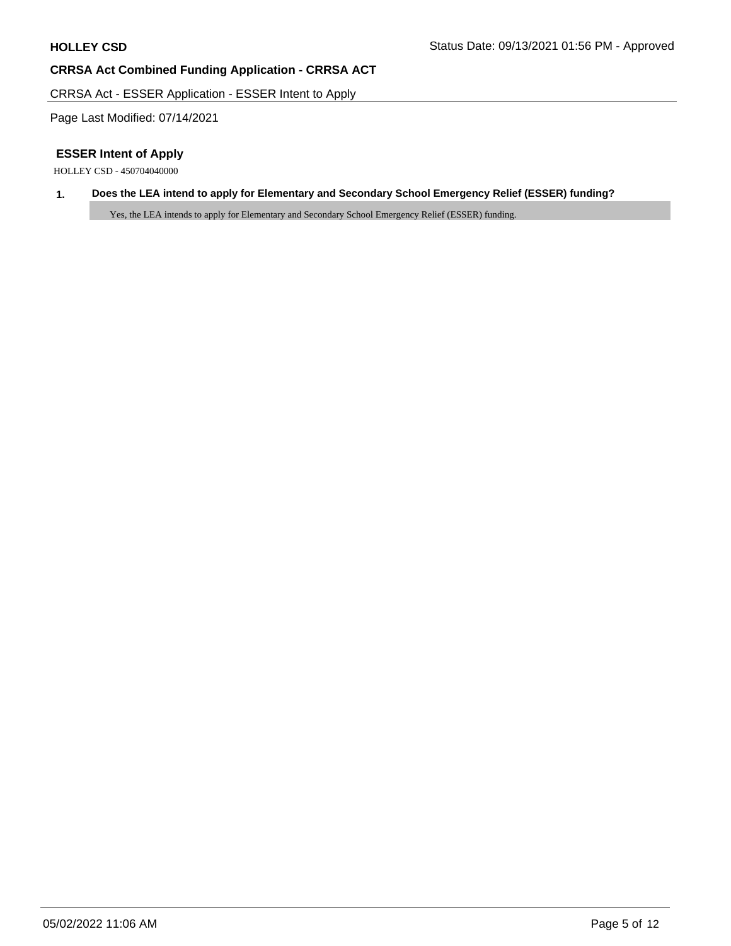CRRSA Act - ESSER Application - ESSER Intent to Apply

Page Last Modified: 07/14/2021

## **ESSER Intent of Apply**

HOLLEY CSD - 450704040000

## **1. Does the LEA intend to apply for Elementary and Secondary School Emergency Relief (ESSER) funding?**

Yes, the LEA intends to apply for Elementary and Secondary School Emergency Relief (ESSER) funding.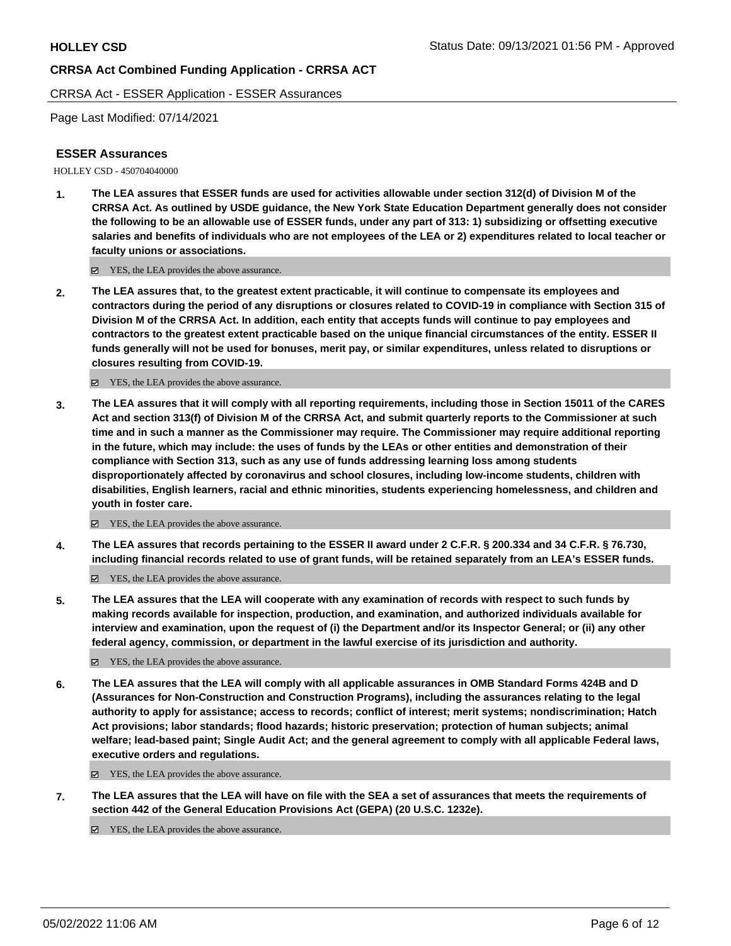CRRSA Act - ESSER Application - ESSER Assurances

Page Last Modified: 07/14/2021

### **ESSER Assurances**

HOLLEY CSD - 450704040000

**1. The LEA assures that ESSER funds are used for activities allowable under section 312(d) of Division M of the CRRSA Act. As outlined by USDE guidance, the New York State Education Department generally does not consider the following to be an allowable use of ESSER funds, under any part of 313: 1) subsidizing or offsetting executive salaries and benefits of individuals who are not employees of the LEA or 2) expenditures related to local teacher or faculty unions or associations.**

YES, the LEA provides the above assurance.

**2. The LEA assures that, to the greatest extent practicable, it will continue to compensate its employees and contractors during the period of any disruptions or closures related to COVID-19 in compliance with Section 315 of Division M of the CRRSA Act. In addition, each entity that accepts funds will continue to pay employees and contractors to the greatest extent practicable based on the unique financial circumstances of the entity. ESSER II funds generally will not be used for bonuses, merit pay, or similar expenditures, unless related to disruptions or closures resulting from COVID-19.**

YES, the LEA provides the above assurance.

**3. The LEA assures that it will comply with all reporting requirements, including those in Section 15011 of the CARES Act and section 313(f) of Division M of the CRRSA Act, and submit quarterly reports to the Commissioner at such time and in such a manner as the Commissioner may require. The Commissioner may require additional reporting in the future, which may include: the uses of funds by the LEAs or other entities and demonstration of their compliance with Section 313, such as any use of funds addressing learning loss among students disproportionately affected by coronavirus and school closures, including low-income students, children with disabilities, English learners, racial and ethnic minorities, students experiencing homelessness, and children and youth in foster care.**

YES, the LEA provides the above assurance.

**4. The LEA assures that records pertaining to the ESSER II award under 2 C.F.R. § 200.334 and 34 C.F.R. § 76.730, including financial records related to use of grant funds, will be retained separately from an LEA's ESSER funds.**

YES, the LEA provides the above assurance.

**5. The LEA assures that the LEA will cooperate with any examination of records with respect to such funds by making records available for inspection, production, and examination, and authorized individuals available for interview and examination, upon the request of (i) the Department and/or its Inspector General; or (ii) any other federal agency, commission, or department in the lawful exercise of its jurisdiction and authority.**

■ YES, the LEA provides the above assurance.

**6. The LEA assures that the LEA will comply with all applicable assurances in OMB Standard Forms 424B and D (Assurances for Non-Construction and Construction Programs), including the assurances relating to the legal authority to apply for assistance; access to records; conflict of interest; merit systems; nondiscrimination; Hatch Act provisions; labor standards; flood hazards; historic preservation; protection of human subjects; animal welfare; lead-based paint; Single Audit Act; and the general agreement to comply with all applicable Federal laws, executive orders and regulations.**

YES, the LEA provides the above assurance.

**7. The LEA assures that the LEA will have on file with the SEA a set of assurances that meets the requirements of section 442 of the General Education Provisions Act (GEPA) (20 U.S.C. 1232e).**

YES, the LEA provides the above assurance.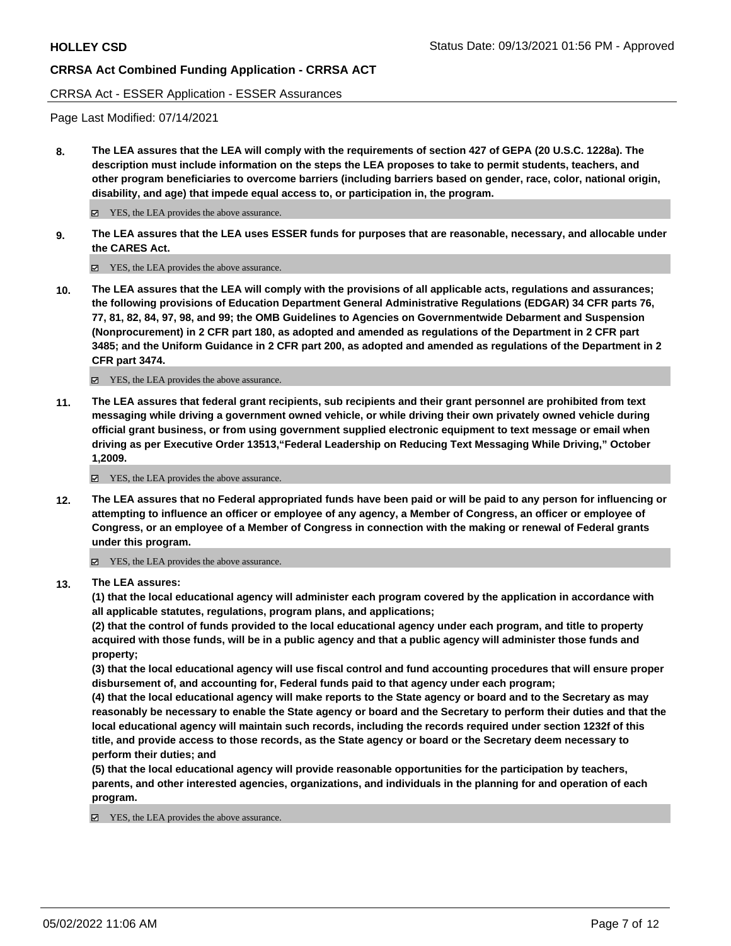#### CRRSA Act - ESSER Application - ESSER Assurances

Page Last Modified: 07/14/2021

**8. The LEA assures that the LEA will comply with the requirements of section 427 of GEPA (20 U.S.C. 1228a). The description must include information on the steps the LEA proposes to take to permit students, teachers, and other program beneficiaries to overcome barriers (including barriers based on gender, race, color, national origin, disability, and age) that impede equal access to, or participation in, the program.**

■ YES, the LEA provides the above assurance.

**9. The LEA assures that the LEA uses ESSER funds for purposes that are reasonable, necessary, and allocable under the CARES Act.**

■ YES, the LEA provides the above assurance.

**10. The LEA assures that the LEA will comply with the provisions of all applicable acts, regulations and assurances; the following provisions of Education Department General Administrative Regulations (EDGAR) 34 CFR parts 76, 77, 81, 82, 84, 97, 98, and 99; the OMB Guidelines to Agencies on Governmentwide Debarment and Suspension (Nonprocurement) in 2 CFR part 180, as adopted and amended as regulations of the Department in 2 CFR part 3485; and the Uniform Guidance in 2 CFR part 200, as adopted and amended as regulations of the Department in 2 CFR part 3474.**

YES, the LEA provides the above assurance.

**11. The LEA assures that federal grant recipients, sub recipients and their grant personnel are prohibited from text messaging while driving a government owned vehicle, or while driving their own privately owned vehicle during official grant business, or from using government supplied electronic equipment to text message or email when driving as per Executive Order 13513,"Federal Leadership on Reducing Text Messaging While Driving," October 1,2009.**

YES, the LEA provides the above assurance.

**12. The LEA assures that no Federal appropriated funds have been paid or will be paid to any person for influencing or attempting to influence an officer or employee of any agency, a Member of Congress, an officer or employee of Congress, or an employee of a Member of Congress in connection with the making or renewal of Federal grants under this program.**

YES, the LEA provides the above assurance.

**13. The LEA assures:**

**(1) that the local educational agency will administer each program covered by the application in accordance with all applicable statutes, regulations, program plans, and applications;**

**(2) that the control of funds provided to the local educational agency under each program, and title to property acquired with those funds, will be in a public agency and that a public agency will administer those funds and property;**

**(3) that the local educational agency will use fiscal control and fund accounting procedures that will ensure proper disbursement of, and accounting for, Federal funds paid to that agency under each program;**

**(4) that the local educational agency will make reports to the State agency or board and to the Secretary as may reasonably be necessary to enable the State agency or board and the Secretary to perform their duties and that the local educational agency will maintain such records, including the records required under section 1232f of this title, and provide access to those records, as the State agency or board or the Secretary deem necessary to perform their duties; and**

**(5) that the local educational agency will provide reasonable opportunities for the participation by teachers, parents, and other interested agencies, organizations, and individuals in the planning for and operation of each program.**

YES, the LEA provides the above assurance.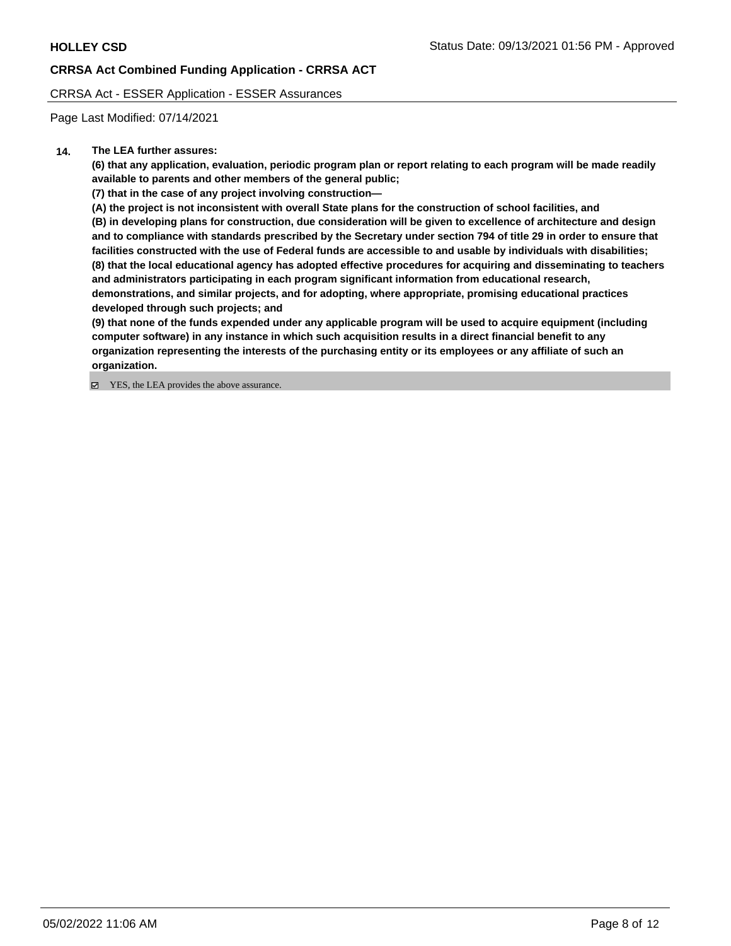CRRSA Act - ESSER Application - ESSER Assurances

Page Last Modified: 07/14/2021

### **14. The LEA further assures:**

**(6) that any application, evaluation, periodic program plan or report relating to each program will be made readily available to parents and other members of the general public;**

**(7) that in the case of any project involving construction—**

**(A) the project is not inconsistent with overall State plans for the construction of school facilities, and**

**(B) in developing plans for construction, due consideration will be given to excellence of architecture and design and to compliance with standards prescribed by the Secretary under section 794 of title 29 in order to ensure that facilities constructed with the use of Federal funds are accessible to and usable by individuals with disabilities; (8) that the local educational agency has adopted effective procedures for acquiring and disseminating to teachers and administrators participating in each program significant information from educational research, demonstrations, and similar projects, and for adopting, where appropriate, promising educational practices developed through such projects; and**

**(9) that none of the funds expended under any applicable program will be used to acquire equipment (including computer software) in any instance in which such acquisition results in a direct financial benefit to any organization representing the interests of the purchasing entity or its employees or any affiliate of such an organization.**

■ YES, the LEA provides the above assurance.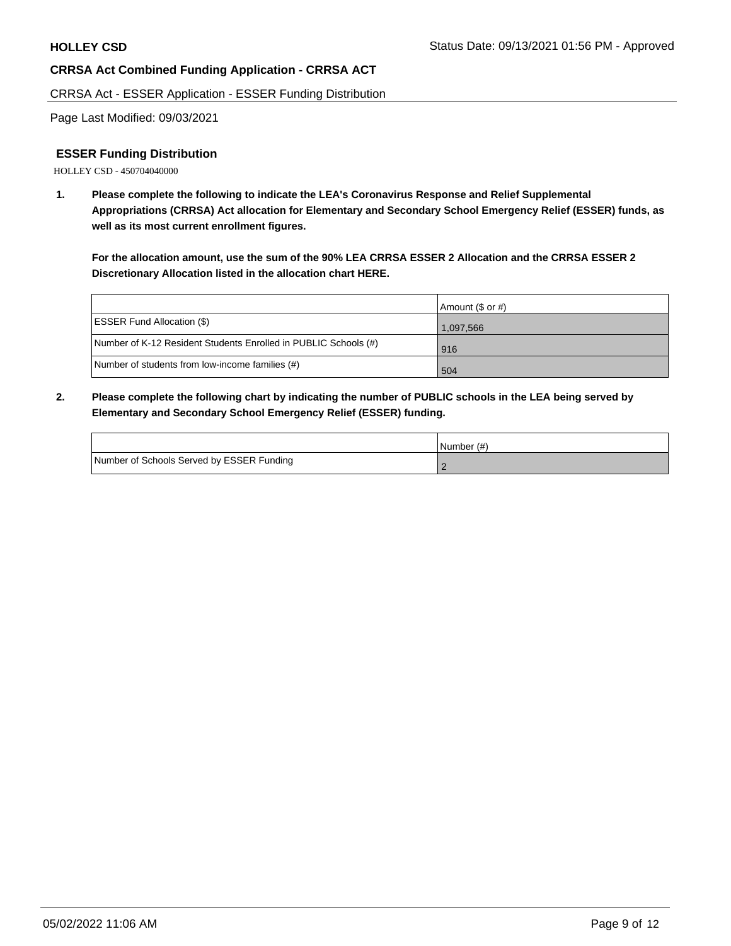CRRSA Act - ESSER Application - ESSER Funding Distribution

Page Last Modified: 09/03/2021

### **ESSER Funding Distribution**

HOLLEY CSD - 450704040000

**1. Please complete the following to indicate the LEA's Coronavirus Response and Relief Supplemental Appropriations (CRRSA) Act allocation for Elementary and Secondary School Emergency Relief (ESSER) funds, as well as its most current enrollment figures.**

**For the allocation amount, use the sum of the 90% LEA CRRSA ESSER 2 Allocation and the CRRSA ESSER 2 Discretionary Allocation listed in the allocation chart HERE.**

|                                                                 | Amount (\$ or #) |
|-----------------------------------------------------------------|------------------|
| <b>ESSER Fund Allocation (\$)</b>                               | 1.097.566        |
| Number of K-12 Resident Students Enrolled in PUBLIC Schools (#) | l 916            |
| Number of students from low-income families (#)                 | 504              |

**2. Please complete the following chart by indicating the number of PUBLIC schools in the LEA being served by Elementary and Secondary School Emergency Relief (ESSER) funding.**

|                                           | INumber (#) |
|-------------------------------------------|-------------|
| Number of Schools Served by ESSER Funding |             |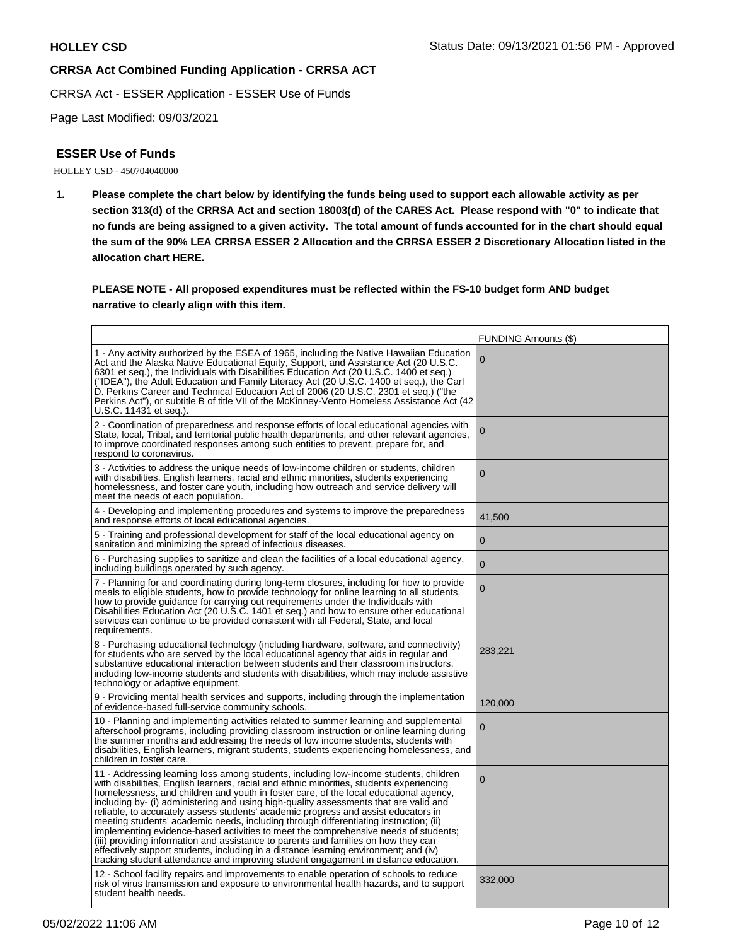CRRSA Act - ESSER Application - ESSER Use of Funds

Page Last Modified: 09/03/2021

### **ESSER Use of Funds**

HOLLEY CSD - 450704040000

**1. Please complete the chart below by identifying the funds being used to support each allowable activity as per section 313(d) of the CRRSA Act and section 18003(d) of the CARES Act. Please respond with "0" to indicate that no funds are being assigned to a given activity. The total amount of funds accounted for in the chart should equal the sum of the 90% LEA CRRSA ESSER 2 Allocation and the CRRSA ESSER 2 Discretionary Allocation listed in the allocation chart HERE.**

**PLEASE NOTE - All proposed expenditures must be reflected within the FS-10 budget form AND budget narrative to clearly align with this item.**

|                                                                                                                                                                                                                                                                                                                                                                                                                                                                                                                                                                                                                                                                                                                                                                                                                                                                                                                | <b>FUNDING Amounts (\$)</b> |
|----------------------------------------------------------------------------------------------------------------------------------------------------------------------------------------------------------------------------------------------------------------------------------------------------------------------------------------------------------------------------------------------------------------------------------------------------------------------------------------------------------------------------------------------------------------------------------------------------------------------------------------------------------------------------------------------------------------------------------------------------------------------------------------------------------------------------------------------------------------------------------------------------------------|-----------------------------|
| 1 - Any activity authorized by the ESEA of 1965, including the Native Hawaiian Education<br>Act and the Alaska Native Educational Equity, Support, and Assistance Act (20 U.S.C.<br>6301 et seq.), the Individuals with Disabilities Education Act (20 U.S.C. 1400 et seq.)<br>("IDEA"), the Adult Education and Family Literacy Act (20 U.S.C. 1400 et seq.), the Carl<br>D. Perkins Career and Technical Education Act of 2006 (20 U.S.C. 2301 et seq.) ("the<br>Perkins Act"), or subtitle B of title VII of the McKinney-Vento Homeless Assistance Act (42<br>U.S.C. 11431 et seq.).                                                                                                                                                                                                                                                                                                                       | $\mathbf 0$                 |
| 2 - Coordination of preparedness and response efforts of local educational agencies with<br>State, local, Tribal, and territorial public health departments, and other relevant agencies,<br>to improve coordinated responses among such entities to prevent, prepare for, and<br>respond to coronavirus.                                                                                                                                                                                                                                                                                                                                                                                                                                                                                                                                                                                                      | 0                           |
| 3 - Activities to address the unique needs of low-income children or students, children<br>with disabilities, English learners, racial and ethnic minorities, students experiencing<br>homelessness, and foster care youth, including how outreach and service delivery will<br>meet the needs of each population.                                                                                                                                                                                                                                                                                                                                                                                                                                                                                                                                                                                             | $\mathbf{0}$                |
| 4 - Developing and implementing procedures and systems to improve the preparedness<br>and response efforts of local educational agencies.                                                                                                                                                                                                                                                                                                                                                                                                                                                                                                                                                                                                                                                                                                                                                                      | 41,500                      |
| 5 - Training and professional development for staff of the local educational agency on<br>sanitation and minimizing the spread of infectious diseases.                                                                                                                                                                                                                                                                                                                                                                                                                                                                                                                                                                                                                                                                                                                                                         | $\mathbf{0}$                |
| 6 - Purchasing supplies to sanitize and clean the facilities of a local educational agency,<br>including buildings operated by such agency.                                                                                                                                                                                                                                                                                                                                                                                                                                                                                                                                                                                                                                                                                                                                                                    | $\mathbf 0$                 |
| 7 - Planning for and coordinating during long-term closures, including for how to provide<br>meals to eligible students, how to provide technology for online learning to all students,<br>how to provide guidance for carrying out requirements under the Individuals with<br>Disabilities Education Act (20 U.S.C. 1401 et seq.) and how to ensure other educational<br>services can continue to be provided consistent with all Federal, State, and local<br>requirements.                                                                                                                                                                                                                                                                                                                                                                                                                                  | $\mathbf{0}$                |
| 8 - Purchasing educational technology (including hardware, software, and connectivity)<br>for students who are served by the local educational agency that aids in regular and<br>substantive educational interaction between students and their classroom instructors,<br>including low-income students and students with disabilities, which may include assistive<br>technology or adaptive equipment.                                                                                                                                                                                                                                                                                                                                                                                                                                                                                                      | 283,221                     |
| 9 - Providing mental health services and supports, including through the implementation<br>of evidence-based full-service community schools.                                                                                                                                                                                                                                                                                                                                                                                                                                                                                                                                                                                                                                                                                                                                                                   | 120,000                     |
| 10 - Planning and implementing activities related to summer learning and supplemental<br>afterschool programs, including providing classroom instruction or online learning during<br>the summer months and addressing the needs of low income students, students with<br>disabilities, English learners, migrant students, students experiencing homelessness, and<br>children in foster care.                                                                                                                                                                                                                                                                                                                                                                                                                                                                                                                | $\mathbf{0}$                |
| 11 - Addressing learning loss among students, including low-income students, children<br>with disabilities, English learners, racial and ethnic minorities, students experiencing<br>homelessness, and children and youth in foster care, of the local educational agency,<br>including by- (i) administering and using high-quality assessments that are valid and<br>reliable, to accurately assess students' academic progress and assist educators in<br>meeting students' academic needs, including through differentiating instruction; (ii)<br>implementing evidence-based activities to meet the comprehensive needs of students;<br>(iii) providing information and assistance to parents and families on how they can<br>effectively support students, including in a distance learning environment; and (iv)<br>tracking student attendance and improving student engagement in distance education. | $\Omega$                    |
| 12 - School facility repairs and improvements to enable operation of schools to reduce<br>risk of virus transmission and exposure to environmental health hazards, and to support<br>student health needs.                                                                                                                                                                                                                                                                                                                                                                                                                                                                                                                                                                                                                                                                                                     | 332,000                     |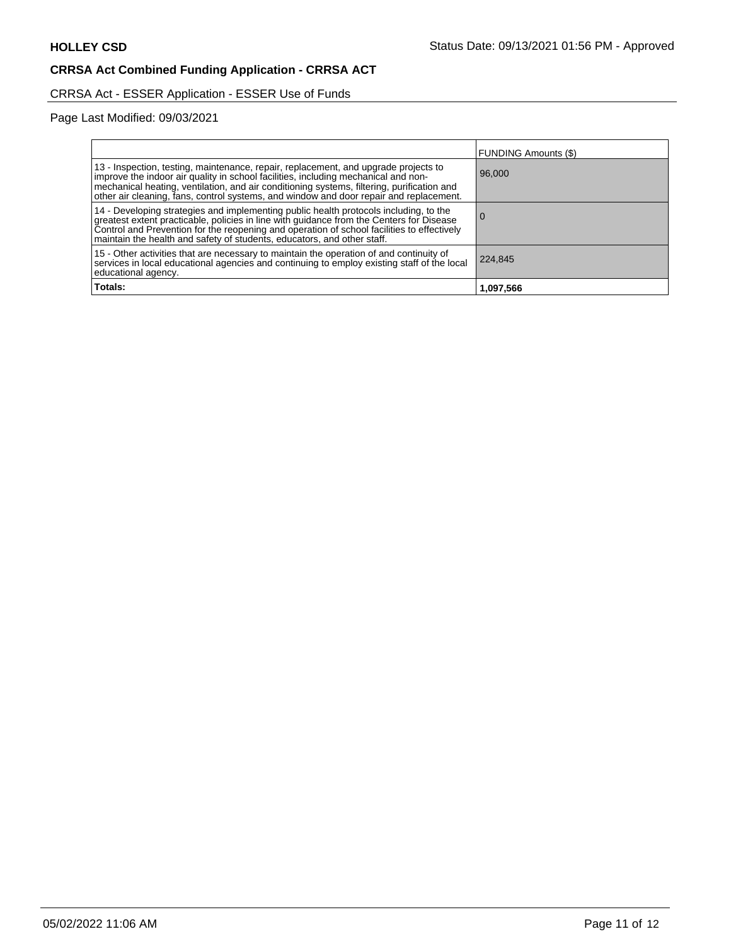# CRRSA Act - ESSER Application - ESSER Use of Funds

Page Last Modified: 09/03/2021

| Totals:                                                                                                                                                                                                                                                                                                                                                           | 1,097,566                   |
|-------------------------------------------------------------------------------------------------------------------------------------------------------------------------------------------------------------------------------------------------------------------------------------------------------------------------------------------------------------------|-----------------------------|
| 15 - Other activities that are necessary to maintain the operation of and continuity of<br>services in local educational agencies and continuing to employ existing staff of the local<br>educational agency.                                                                                                                                                     | 224,845                     |
| 14 - Developing strategies and implementing public health protocols including, to the<br>greatest extent practicable, policies in line with guidance from the Centers for Disease<br>Control and Prevention for the reopening and operation of school facilities to effectively<br>maintain the health and safety of students, educators, and other staff.        |                             |
| 13 - Inspection, testing, maintenance, repair, replacement, and upgrade projects to<br>improve the indoor air quality in school facilities, including mechanical and non-<br>mechanical heating, ventilation, and air conditioning systems, filtering, purification and<br>other air cleaning, fans, control systems, and window and door repair and replacement. | 96,000                      |
|                                                                                                                                                                                                                                                                                                                                                                   | <b>FUNDING Amounts (\$)</b> |